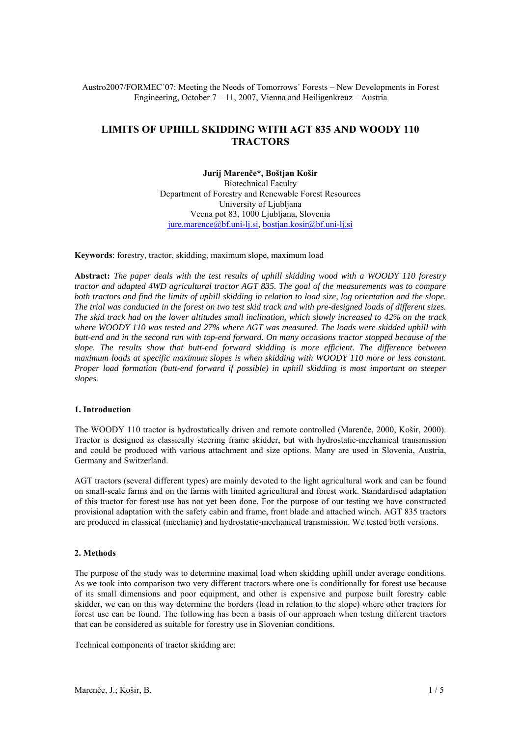## Austro2007/FORMEC´07: Meeting the Needs of Tomorrows´ Forests – New Developments in Forest Engineering, October 7 – 11, 2007, Vienna and Heiligenkreuz – Austria

# **LIMITS OF UPHILL SKIDDING WITH AGT 835 AND WOODY 110 TRACTORS**

#### **Jurij Marenče\*, Boštjan Košir**

Biotechnical Faculty Department of Forestry and Renewable Forest Resources University of Liubliana Vecna pot 83, 1000 Ljubljana, Slovenia jure.marence@bf.uni-lj.si, bostjan.kosir@bf.uni-lj.si

**Keywords**: forestry, tractor, skidding, maximum slope, maximum load

**Abstract:** *The paper deals with the test results of uphill skidding wood with a WOODY 110 forestry tractor and adapted 4WD agricultural tractor AGT 835. The goal of the measurements was to compare*  both tractors and find the limits of uphill skidding in relation to load size, log orientation and the slope. *The trial was conducted in the forest on two test skid track and with pre-designed loads of different sizes. The skid track had on the lower altitudes small inclination, which slowly increased to 42% on the track where WOODY 110 was tested and 27% where AGT was measured. The loads were skidded uphill with butt-end and in the second run with top-end forward. On many occasions tractor stopped because of the slope. The results show that butt-end forward skidding is more efficient. The difference between maximum loads at specific maximum slopes is when skidding with WOODY 110 more or less constant. Proper load formation (butt-end forward if possible) in uphill skidding is most important on steeper slopes.*

## **1. Introduction**

The WOODY 110 tractor is hydrostatically driven and remote controlled (Marenče, 2000, Košir, 2000). Tractor is designed as classically steering frame skidder, but with hydrostatic-mechanical transmission and could be produced with various attachment and size options. Many are used in Slovenia, Austria, Germany and Switzerland.

AGT tractors (several different types) are mainly devoted to the light agricultural work and can be found on small-scale farms and on the farms with limited agricultural and forest work. Standardised adaptation of this tractor for forest use has not yet been done. For the purpose of our testing we have constructed provisional adaptation with the safety cabin and frame, front blade and attached winch. AGT 835 tractors are produced in classical (mechanic) and hydrostatic-mechanical transmission. We tested both versions.

## **2. Methods**

The purpose of the study was to determine maximal load when skidding uphill under average conditions. As we took into comparison two very different tractors where one is conditionally for forest use because of its small dimensions and poor equipment, and other is expensive and purpose built forestry cable skidder, we can on this way determine the borders (load in relation to the slope) where other tractors for forest use can be found. The following has been a basis of our approach when testing different tractors that can be considered as suitable for forestry use in Slovenian conditions.

Technical components of tractor skidding are: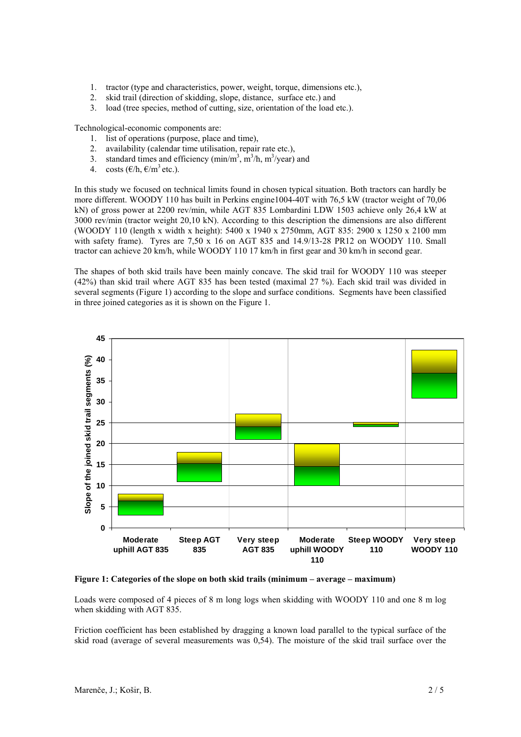- 1. tractor (type and characteristics, power, weight, torque, dimensions etc.),
- 2. skid trail (direction of skidding, slope, distance, surface etc.) and
- 3. load (tree species, method of cutting, size, orientation of the load etc.).

Technological-economic components are:

- 1. list of operations (purpose, place and time),
- 2. availability (calendar time utilisation, repair rate etc.),
- 3. standard times and efficiency  $(\text{min/m}^3, \text{m}^3/\text{h}, \text{m}^3/\text{year})$  and
- 4. costs  $(\epsilon/h, \epsilon/m^3 \text{ etc.}).$

In this study we focused on technical limits found in chosen typical situation. Both tractors can hardly be more different. WOODY 110 has built in Perkins engine1004-40T with 76,5 kW (tractor weight of 70,06 kN) of gross power at 2200 rev/min, while AGT 835 Lombardini LDW 1503 achieve only 26,4 kW at 3000 rev/min (tractor weight 20,10 kN). According to this description the dimensions are also different (WOODY 110 (length x width x height): 5400 x 1940 x 2750mm, AGT 835: 2900 x 1250 x 2100 mm with safety frame). Tyres are 7,50 x 16 on AGT 835 and 14.9/13-28 PR12 on WOODY 110. Small tractor can achieve 20 km/h, while WOODY 110 17 km/h in first gear and 30 km/h in second gear.

The shapes of both skid trails have been mainly concave. The skid trail for WOODY 110 was steeper (42%) than skid trail where AGT 835 has been tested (maximal 27 %). Each skid trail was divided in several segments (Figure 1) according to the slope and surface conditions. Segments have been classified in three joined categories as it is shown on the Figure 1.



**Figure 1: Categories of the slope on both skid trails (minimum – average – maximum)** 

Loads were composed of 4 pieces of 8 m long logs when skidding with WOODY 110 and one 8 m log when skidding with AGT 835.

Friction coefficient has been established by dragging a known load parallel to the typical surface of the skid road (average of several measurements was 0,54). The moisture of the skid trail surface over the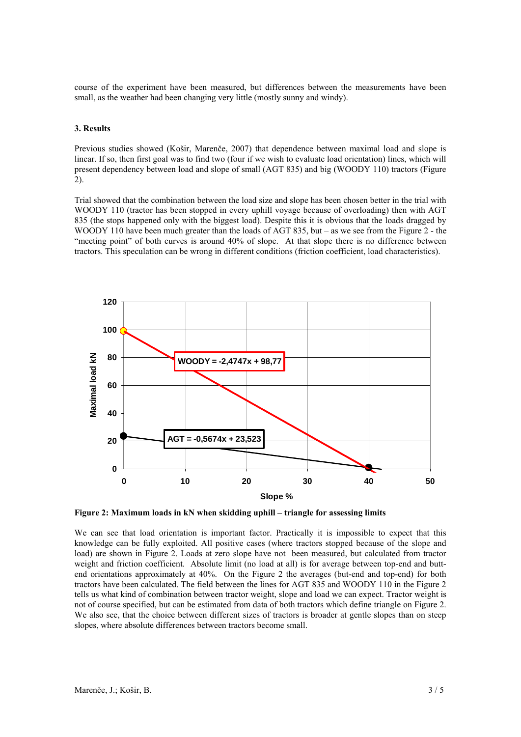course of the experiment have been measured, but differences between the measurements have been small, as the weather had been changing very little (mostly sunny and windy).

#### **3. Results**

Previous studies showed (Košir, Marenče, 2007) that dependence between maximal load and slope is linear. If so, then first goal was to find two (four if we wish to evaluate load orientation) lines, which will present dependency between load and slope of small (AGT 835) and big (WOODY 110) tractors (Figure 2).

Trial showed that the combination between the load size and slope has been chosen better in the trial with WOODY 110 (tractor has been stopped in every uphill voyage because of overloading) then with AGT 835 (the stops happened only with the biggest load). Despite this it is obvious that the loads dragged by WOODY 110 have been much greater than the loads of AGT 835, but – as we see from the Figure 2 - the "meeting point" of both curves is around 40% of slope. At that slope there is no difference between tractors. This speculation can be wrong in different conditions (friction coefficient, load characteristics).



**Figure 2: Maximum loads in kN when skidding uphill – triangle for assessing limits** 

We can see that load orientation is important factor. Practically it is impossible to expect that this knowledge can be fully exploited. All positive cases (where tractors stopped because of the slope and load) are shown in Figure 2. Loads at zero slope have not been measured, but calculated from tractor weight and friction coefficient. Absolute limit (no load at all) is for average between top-end and buttend orientations approximately at 40%. On the Figure 2 the averages (but-end and top-end) for both tractors have been calculated. The field between the lines for AGT 835 and WOODY 110 in the Figure 2 tells us what kind of combination between tractor weight, slope and load we can expect. Tractor weight is not of course specified, but can be estimated from data of both tractors which define triangle on Figure 2. We also see, that the choice between different sizes of tractors is broader at gentle slopes than on steep slopes, where absolute differences between tractors become small.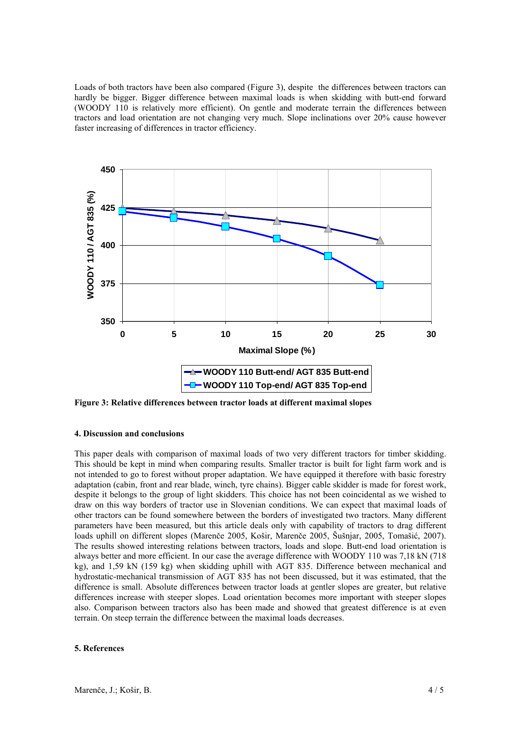Loads of both tractors have been also compared (Figure 3), despite the differences between tractors can hardly be bigger. Bigger difference between maximal loads is when skidding with butt-end forward (WOODY 110 is relatively more efficient). On gentle and moderate terrain the differences between tractors and load orientation are not changing very much. Slope inclinations over 20% cause however faster increasing of differences in tractor efficiency.



**Figure 3: Relative differences between tractor loads at different maximal slopes** 

## **4. Discussion and conclusions**

This paper deals with comparison of maximal loads of two very different tractors for timber skidding. This should be kept in mind when comparing results. Smaller tractor is built for light farm work and is not intended to go to forest without proper adaptation. We have equipped it therefore with basic forestry adaptation (cabin, front and rear blade, winch, tyre chains). Bigger cable skidder is made for forest work, despite it belongs to the group of light skidders. This choice has not been coincidental as we wished to draw on this way borders of tractor use in Slovenian conditions. We can expect that maximal loads of other tractors can be found somewhere between the borders of investigated two tractors. Many different parameters have been measured, but this article deals only with capability of tractors to drag different loads uphill on different slopes (Marenče 2005, Košir, Marenče 2005, Šušnjar, 2005, Tomašić, 2007). The results showed interesting relations between tractors, loads and slope. Butt-end load orientation is always better and more efficient. In our case the average difference with WOODY 110 was 7,18 kN (718 kg), and 1,59 kN (159 kg) when skidding uphill with AGT 835. Difference between mechanical and hydrostatic-mechanical transmission of AGT 835 has not been discussed, but it was estimated, that the difference is small. Absolute differences between tractor loads at gentler slopes are greater, but relative differences increase with steeper slopes. Load orientation becomes more important with steeper slopes also. Comparison between tractors also has been made and showed that greatest difference is at even terrain. On steep terrain the difference between the maximal loads decreases.

#### **5. References**